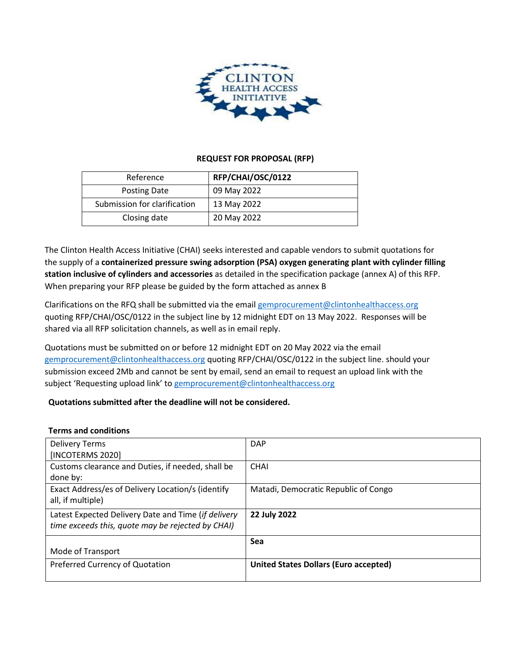

## **REQUEST FOR PROPOSAL (RFP)**

| Reference                    | RFP/CHAI/OSC/0122 |
|------------------------------|-------------------|
| Posting Date                 | 09 May 2022       |
| Submission for clarification | 13 May 2022       |
| Closing date                 | 20 May 2022       |

The Clinton Health Access Initiative (CHAI) seeks interested and capable vendors to submit quotations for the supply of a **containerized pressure swing adsorption (PSA) oxygen generating plant with cylinder filling station inclusive of cylinders and accessories** as detailed in the specification package (annex A) of this RFP. When preparing your RFP please be guided by the form attached as annex B

Clarifications on the RFQ shall be submitted via the emai[l gemprocurement@clintonhealthaccess.org](mailto:gemprocurement@clintonhealthaccess.org) quoting RFP/CHAI/OSC/0122 in the subject line by 12 midnight EDT on 13 May 2022. Responses will be shared via all RFP solicitation channels, as well as in email reply.

Quotations must be submitted on or before 12 midnight EDT on 20 May 2022 via the email [gemprocurement@clintonhealthaccess.org](mailto:gemprocurement@clintonhealthaccess.org) quoting RFP/CHAI/OSC/0122 in the subject line. should your submission exceed 2Mb and cannot be sent by email, send an email to request an upload link with the subject 'Requesting upload link' to [gemprocurement@clintonhealthaccess.org](mailto:gemprocurement@clintonhealthaccess.org)

# **Quotations submitted after the deadline will not be considered.**

#### **Terms and conditions**

| <b>Delivery Terms</b><br>[INCOTERMS 2020]                                                                | <b>DAP</b>                                   |
|----------------------------------------------------------------------------------------------------------|----------------------------------------------|
| Customs clearance and Duties, if needed, shall be<br>done by:                                            | <b>CHAI</b>                                  |
| Exact Address/es of Delivery Location/s (identify<br>all, if multiple)                                   | Matadi, Democratic Republic of Congo         |
| Latest Expected Delivery Date and Time (if delivery<br>time exceeds this, quote may be rejected by CHAI) | 22 July 2022                                 |
| Mode of Transport                                                                                        | Sea                                          |
| Preferred Currency of Quotation                                                                          | <b>United States Dollars (Euro accepted)</b> |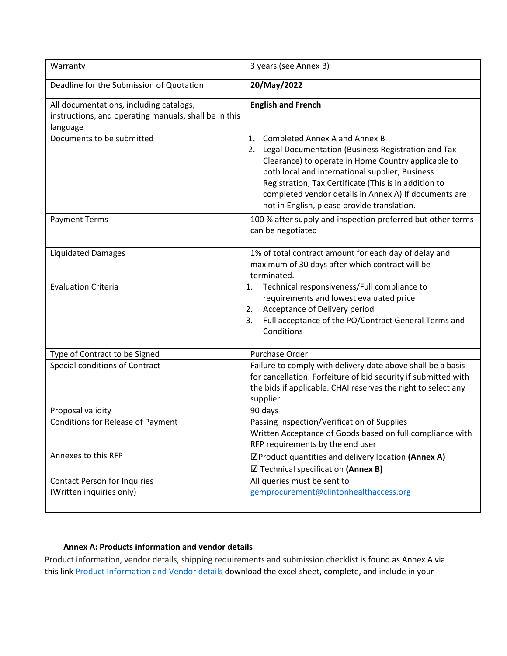| Warranty                                                                                                     | 3 years (see Annex B)                                                                                                                                                                                                                                                                                                                                                      |  |  |
|--------------------------------------------------------------------------------------------------------------|----------------------------------------------------------------------------------------------------------------------------------------------------------------------------------------------------------------------------------------------------------------------------------------------------------------------------------------------------------------------------|--|--|
| Deadline for the Submission of Quotation                                                                     | 20/May/2022                                                                                                                                                                                                                                                                                                                                                                |  |  |
| All documentations, including catalogs,<br>instructions, and operating manuals, shall be in this<br>language | <b>English and French</b>                                                                                                                                                                                                                                                                                                                                                  |  |  |
| Documents to be submitted                                                                                    | Completed Annex A and Annex B<br>1.<br>Legal Documentation (Business Registration and Tax<br>2.<br>Clearance) to operate in Home Country applicable to<br>both local and international supplier, Business<br>Registration, Tax Certificate (This is in addition to<br>completed vendor details in Annex A) If documents are<br>not in English, please provide translation. |  |  |
| <b>Payment Terms</b>                                                                                         | 100 % after supply and inspection preferred but other terms<br>can be negotiated                                                                                                                                                                                                                                                                                           |  |  |
| <b>Liquidated Damages</b>                                                                                    | 1% of total contract amount for each day of delay and<br>maximum of 30 days after which contract will be<br>terminated.                                                                                                                                                                                                                                                    |  |  |
| <b>Evaluation Criteria</b>                                                                                   | Technical responsiveness/Full compliance to<br>1.<br>requirements and lowest evaluated price<br>Acceptance of Delivery period<br>2.<br>Full acceptance of the PO/Contract General Terms and<br>3.<br>Conditions                                                                                                                                                            |  |  |
| Type of Contract to be Signed                                                                                | Purchase Order                                                                                                                                                                                                                                                                                                                                                             |  |  |
| Special conditions of Contract                                                                               | Failure to comply with delivery date above shall be a basis<br>for cancellation. Forfeiture of bid security if submitted with<br>the bids if applicable. CHAI reserves the right to select any<br>supplier                                                                                                                                                                 |  |  |
| Proposal validity                                                                                            | 90 days                                                                                                                                                                                                                                                                                                                                                                    |  |  |
| <b>Conditions for Release of Payment</b>                                                                     | Passing Inspection/Verification of Supplies<br>Written Acceptance of Goods based on full compliance with<br>RFP requirements by the end user                                                                                                                                                                                                                               |  |  |
| Annexes to this RFP                                                                                          | ☑Product quantities and delivery location (Annex A)<br>$\boxtimes$ Technical specification (Annex B)                                                                                                                                                                                                                                                                       |  |  |
| <b>Contact Person for Inquiries</b>                                                                          | All queries must be sent to                                                                                                                                                                                                                                                                                                                                                |  |  |
| (Written inquiries only)                                                                                     | gemprocurement@clintonhealthaccess.org                                                                                                                                                                                                                                                                                                                                     |  |  |

## **Annex A: Products information and vendor details**

Product information, vendor details, shipping requirements and submission checklist is found as Annex A via this link [Product Information and Vendor details](https://clintonhealth.box.com/s/0rncgw3h487ayjrhvelznm6pzug5a41y) download the excel sheet, complete, and include in your